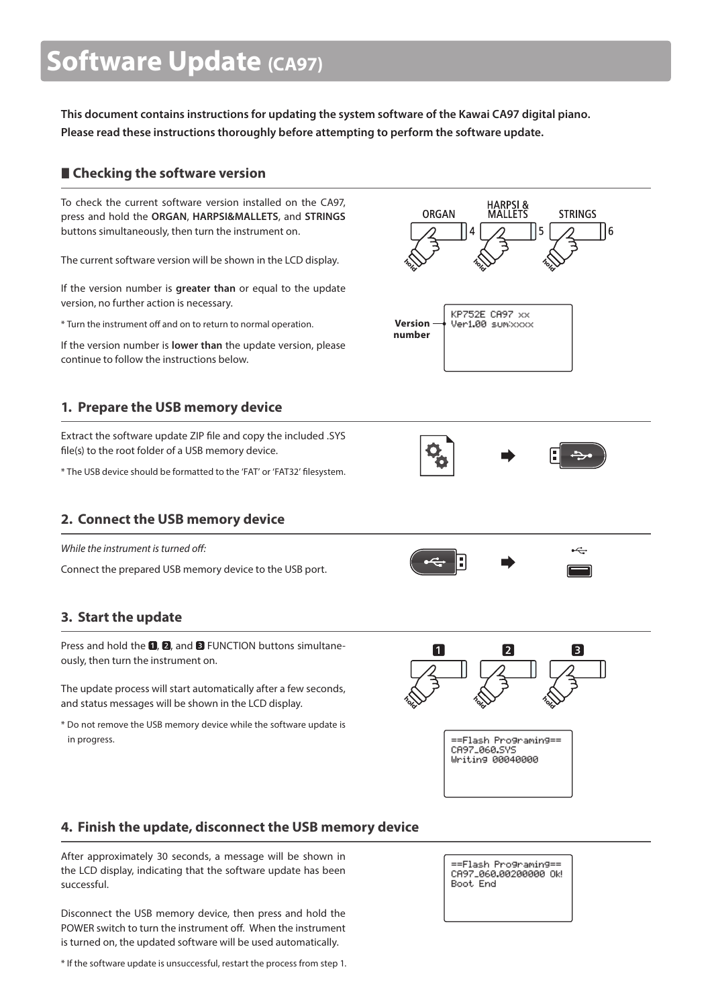# **Software Update (CA97)**

**This document contains instructions for updating the system software of the Kawai CA97 digital piano. Please read these instructions thoroughly before attempting to perform the software update.**

## **Checking the software version**

To check the current software version installed on the CA97, press and hold the **ORGAN**, **HARPSI&MALLETS**, and **STRINGS** buttons simultaneously, then turn the instrument on.

The current software version will be shown in the LCD display.

If the version number is **greater than** or equal to the update version, no further action is necessary.

\* Turn the instrument off and on to return to normal operation.

If the version number is **lower than** the update version, please continue to follow the instructions below.

# **1. Prepare the USB memory device**

Extract the software update ZIP file and copy the included .SYS file(s) to the root folder of a USB memory device.

\* The USB device should be formatted to the 'FAT' or 'FAT32' filesystem.

# **2. Connect the USB memory device**

While the instrument is turned off

Connect the prepared USB memory device to the USB port.

# **3. Start the update**

Press and hold the  $\blacksquare$ .  $\blacksquare$ , and  $\blacksquare$  FUNCTION buttons simultaneously, then turn the instrument on.

The update process will start automatically after a few seconds, and status messages will be shown in the LCD display.

\* Do not remove the USB memory device while the software update is in progress.







 $\stackrel{\frown}{\leftarrow}$ 



==Flash Programing== CA97\_060.SYS Uniting 00040000

## **4. Finish the update, disconnect the USB memory device**

After approximately 30 seconds, a message will be shown in the LCD display, indicating that the software update has been successful.

Disconnect the USB memory device, then press and hold the POWER switch to turn the instrument off. When the instrument is turned on, the updated software will be used automatically.

\* If the software update is unsuccessful, restart the process from step 1.

==Flash Programing== CA97\_060.00200000 Ok! Boot, End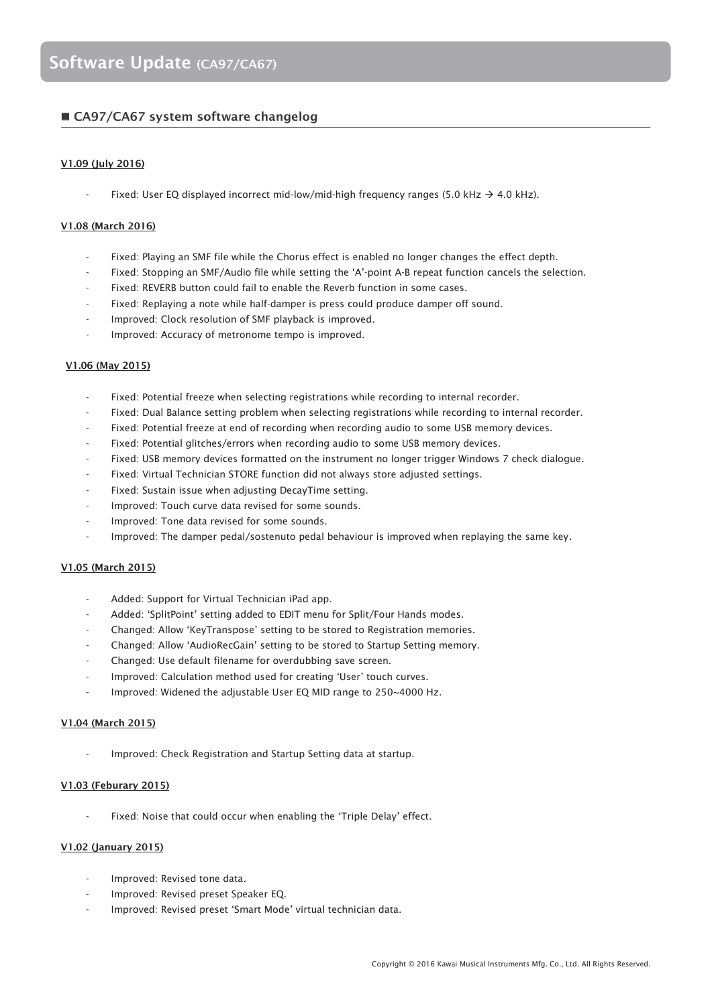### **CA97/CA67 system software changelog**

#### **V1.09 (July 2016)**

Fixed: User EQ displayed incorrect mid-low/mid-high frequency ranges (5.0 kHz  $\rightarrow$  4.0 kHz).

#### **V1.08 (March 2016)**

- Fixed: Playing an SMF file while the Chorus effect is enabled no longer changes the effect depth.
- Fixed: Stopping an SMF/Audio file while setting the 'A'-point A-B repeat function cancels the selection.
- Fixed: REVERB button could fail to enable the Reverb function in some cases.
- Fixed: Replaying a note while half-damper is press could produce damper off sound.
- Improved: Clock resolution of SMF playback is improved.
- Improved: Accuracy of metronome tempo is improved.

#### **V1.06 (May 2015)**

- Fixed: Potential freeze when selecting registrations while recording to internal recorder.
- Fixed: Dual Balance setting problem when selecting registrations while recording to internal recorder.
- Fixed: Potential freeze at end of recording when recording audio to some USB memory devices.
- Fixed: Potential glitches/errors when recording audio to some USB memory devices.
- Fixed: USB memory devices formatted on the instrument no longer trigger Windows 7 check dialogue.
- Fixed: Virtual Technician STORE function did not always store adjusted settings.
- Fixed: Sustain issue when adjusting DecayTime setting.
- Improved: Touch curve data revised for some sounds.
- Improved: Tone data revised for some sounds.
- Improved: The damper pedal/sostenuto pedal behaviour is improved when replaying the same key.

#### **V1.05 (March 2015)**

- Added: Support for Virtual Technician iPad app.
- Added: 'SplitPoint' setting added to EDIT menu for Split/Four Hands modes.
- Changed: Allow 'KeyTranspose' setting to be stored to Registration memories.
- Changed: Allow 'AudioRecGain' setting to be stored to Startup Setting memory.
- Changed: Use default filename for overdubbing save screen.
- Improved: Calculation method used for creating 'User' touch curves.
- Improved: Widened the adjustable User EQ MID range to 250~4000 Hz.

#### **V1.04 (March 2015)**

Improved: Check Registration and Startup Setting data at startup.

#### **V1.03 (Feburary 2015)**

Fixed: Noise that could occur when enabling the 'Triple Delay' effect.

#### **V1.02 (January 2015)**

- Improved: Revised tone data.
- Improved: Revised preset Speaker EQ.
- Improved: Revised preset 'Smart Mode' virtual technician data.